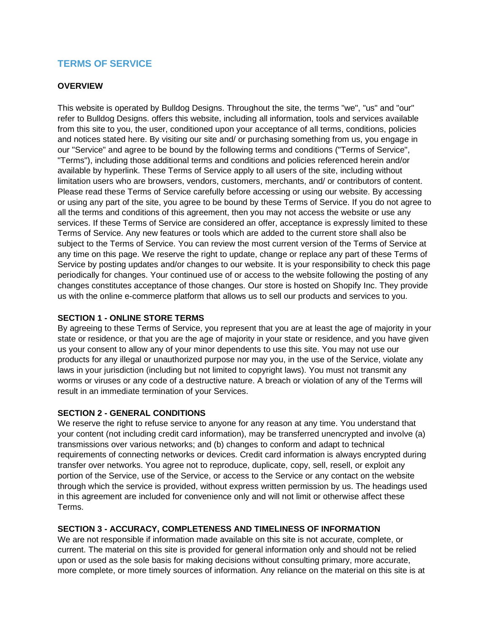# **TERMS OF SERVICE**

#### **OVERVIEW**

This website is operated by Bulldog Designs. Throughout the site, the terms "we", "us" and "our" refer to Bulldog Designs. offers this website, including all information, tools and services available from this site to you, the user, conditioned upon your acceptance of all terms, conditions, policies and notices stated here. By visiting our site and/ or purchasing something from us, you engage in our "Service" and agree to be bound by the following terms and conditions ("Terms of Service", "Terms"), including those additional terms and conditions and policies referenced herein and/or available by hyperlink. These Terms of Service apply to all users of the site, including without limitation users who are browsers, vendors, customers, merchants, and/ or contributors of content. Please read these Terms of Service carefully before accessing or using our website. By accessing or using any part of the site, you agree to be bound by these Terms of Service. If you do not agree to all the terms and conditions of this agreement, then you may not access the website or use any services. If these Terms of Service are considered an offer, acceptance is expressly limited to these Terms of Service. Any new features or tools which are added to the current store shall also be subject to the Terms of Service. You can review the most current version of the Terms of Service at any time on this page. We reserve the right to update, change or replace any part of these Terms of Service by posting updates and/or changes to our website. It is your responsibility to check this page periodically for changes. Your continued use of or access to the website following the posting of any changes constitutes acceptance of those changes. Our store is hosted on Shopify Inc. They provide us with the online e-commerce platform that allows us to sell our products and services to you.

### **SECTION 1 - ONLINE STORE TERMS**

By agreeing to these Terms of Service, you represent that you are at least the age of majority in your state or residence, or that you are the age of majority in your state or residence, and you have given us your consent to allow any of your minor dependents to use this site. You may not use our products for any illegal or unauthorized purpose nor may you, in the use of the Service, violate any laws in your jurisdiction (including but not limited to copyright laws). You must not transmit any worms or viruses or any code of a destructive nature. A breach or violation of any of the Terms will result in an immediate termination of your Services.

#### **SECTION 2 - GENERAL CONDITIONS**

We reserve the right to refuse service to anyone for any reason at any time. You understand that your content (not including credit card information), may be transferred unencrypted and involve (a) transmissions over various networks; and (b) changes to conform and adapt to technical requirements of connecting networks or devices. Credit card information is always encrypted during transfer over networks. You agree not to reproduce, duplicate, copy, sell, resell, or exploit any portion of the Service, use of the Service, or access to the Service or any contact on the website through which the service is provided, without express written permission by us. The headings used in this agreement are included for convenience only and will not limit or otherwise affect these Terms.

### **SECTION 3 - ACCURACY, COMPLETENESS AND TIMELINESS OF INFORMATION**

We are not responsible if information made available on this site is not accurate, complete, or current. The material on this site is provided for general information only and should not be relied upon or used as the sole basis for making decisions without consulting primary, more accurate, more complete, or more timely sources of information. Any reliance on the material on this site is at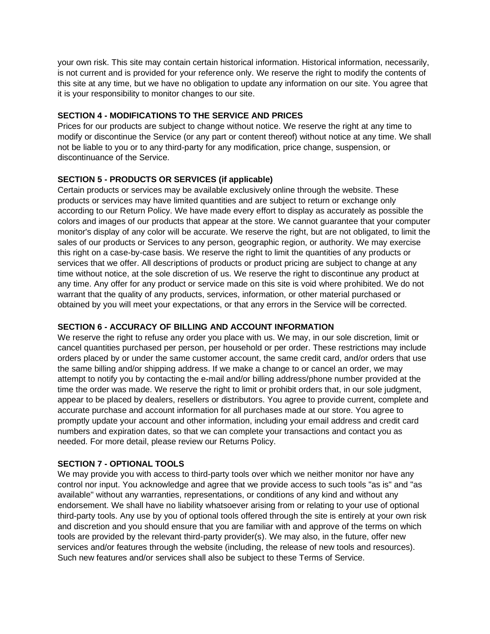your own risk. This site may contain certain historical information. Historical information, necessarily, is not current and is provided for your reference only. We reserve the right to modify the contents of this site at any time, but we have no obligation to update any information on our site. You agree that it is your responsibility to monitor changes to our site.

## **SECTION 4 - MODIFICATIONS TO THE SERVICE AND PRICES**

Prices for our products are subject to change without notice. We reserve the right at any time to modify or discontinue the Service (or any part or content thereof) without notice at any time. We shall not be liable to you or to any third-party for any modification, price change, suspension, or discontinuance of the Service.

## **SECTION 5 - PRODUCTS OR SERVICES (if applicable)**

Certain products or services may be available exclusively online through the website. These products or services may have limited quantities and are subject to return or exchange only according to our Return Policy. We have made every effort to display as accurately as possible the colors and images of our products that appear at the store. We cannot guarantee that your computer monitor's display of any color will be accurate. We reserve the right, but are not obligated, to limit the sales of our products or Services to any person, geographic region, or authority. We may exercise this right on a case-by-case basis. We reserve the right to limit the quantities of any products or services that we offer. All descriptions of products or product pricing are subject to change at any time without notice, at the sole discretion of us. We reserve the right to discontinue any product at any time. Any offer for any product or service made on this site is void where prohibited. We do not warrant that the quality of any products, services, information, or other material purchased or obtained by you will meet your expectations, or that any errors in the Service will be corrected.

### **SECTION 6 - ACCURACY OF BILLING AND ACCOUNT INFORMATION**

We reserve the right to refuse any order you place with us. We may, in our sole discretion, limit or cancel quantities purchased per person, per household or per order. These restrictions may include orders placed by or under the same customer account, the same credit card, and/or orders that use the same billing and/or shipping address. If we make a change to or cancel an order, we may attempt to notify you by contacting the e-mail and/or billing address/phone number provided at the time the order was made. We reserve the right to limit or prohibit orders that, in our sole judgment, appear to be placed by dealers, resellers or distributors. You agree to provide current, complete and accurate purchase and account information for all purchases made at our store. You agree to promptly update your account and other information, including your email address and credit card numbers and expiration dates, so that we can complete your transactions and contact you as needed. For more detail, please review our Returns Policy.

### **SECTION 7 - OPTIONAL TOOLS**

We may provide you with access to third-party tools over which we neither monitor nor have any control nor input. You acknowledge and agree that we provide access to such tools "as is" and "as available" without any warranties, representations, or conditions of any kind and without any endorsement. We shall have no liability whatsoever arising from or relating to your use of optional third-party tools. Any use by you of optional tools offered through the site is entirely at your own risk and discretion and you should ensure that you are familiar with and approve of the terms on which tools are provided by the relevant third-party provider(s). We may also, in the future, offer new services and/or features through the website (including, the release of new tools and resources). Such new features and/or services shall also be subject to these Terms of Service.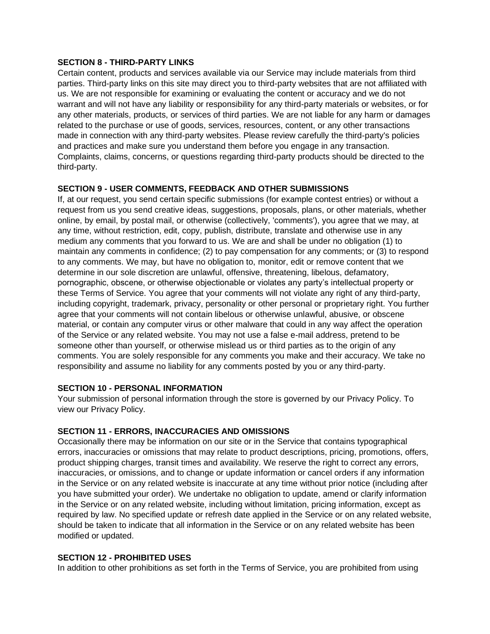#### **SECTION 8 - THIRD-PARTY LINKS**

Certain content, products and services available via our Service may include materials from third parties. Third-party links on this site may direct you to third-party websites that are not affiliated with us. We are not responsible for examining or evaluating the content or accuracy and we do not warrant and will not have any liability or responsibility for any third-party materials or websites, or for any other materials, products, or services of third parties. We are not liable for any harm or damages related to the purchase or use of goods, services, resources, content, or any other transactions made in connection with any third-party websites. Please review carefully the third-party's policies and practices and make sure you understand them before you engage in any transaction. Complaints, claims, concerns, or questions regarding third-party products should be directed to the third-party.

### **SECTION 9 - USER COMMENTS, FEEDBACK AND OTHER SUBMISSIONS**

If, at our request, you send certain specific submissions (for example contest entries) or without a request from us you send creative ideas, suggestions, proposals, plans, or other materials, whether online, by email, by postal mail, or otherwise (collectively, 'comments'), you agree that we may, at any time, without restriction, edit, copy, publish, distribute, translate and otherwise use in any medium any comments that you forward to us. We are and shall be under no obligation (1) to maintain any comments in confidence; (2) to pay compensation for any comments; or (3) to respond to any comments. We may, but have no obligation to, monitor, edit or remove content that we determine in our sole discretion are unlawful, offensive, threatening, libelous, defamatory, pornographic, obscene, or otherwise objectionable or violates any party's intellectual property or these Terms of Service. You agree that your comments will not violate any right of any third-party, including copyright, trademark, privacy, personality or other personal or proprietary right. You further agree that your comments will not contain libelous or otherwise unlawful, abusive, or obscene material, or contain any computer virus or other malware that could in any way affect the operation of the Service or any related website. You may not use a false e-mail address, pretend to be someone other than yourself, or otherwise mislead us or third parties as to the origin of any comments. You are solely responsible for any comments you make and their accuracy. We take no responsibility and assume no liability for any comments posted by you or any third-party.

### **SECTION 10 - PERSONAL INFORMATION**

Your submission of personal information through the store is governed by our Privacy Policy. To view our Privacy Policy.

### **SECTION 11 - ERRORS, INACCURACIES AND OMISSIONS**

Occasionally there may be information on our site or in the Service that contains typographical errors, inaccuracies or omissions that may relate to product descriptions, pricing, promotions, offers, product shipping charges, transit times and availability. We reserve the right to correct any errors, inaccuracies, or omissions, and to change or update information or cancel orders if any information in the Service or on any related website is inaccurate at any time without prior notice (including after you have submitted your order). We undertake no obligation to update, amend or clarify information in the Service or on any related website, including without limitation, pricing information, except as required by law. No specified update or refresh date applied in the Service or on any related website, should be taken to indicate that all information in the Service or on any related website has been modified or updated.

### **SECTION 12 - PROHIBITED USES**

In addition to other prohibitions as set forth in the Terms of Service, you are prohibited from using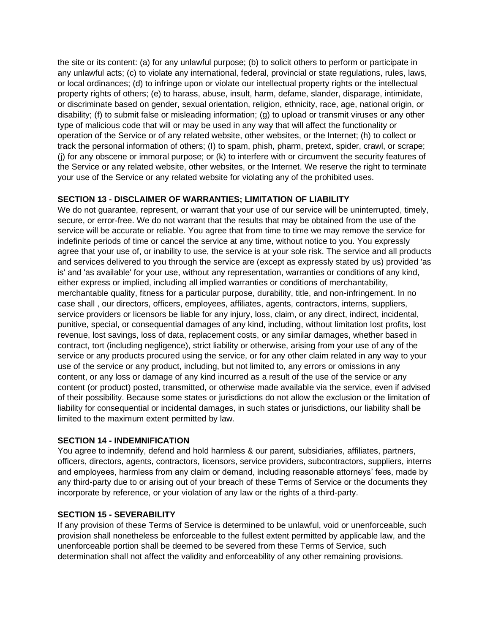the site or its content: (a) for any unlawful purpose; (b) to solicit others to perform or participate in any unlawful acts; (c) to violate any international, federal, provincial or state regulations, rules, laws, or local ordinances; (d) to infringe upon or violate our intellectual property rights or the intellectual property rights of others; (e) to harass, abuse, insult, harm, defame, slander, disparage, intimidate, or discriminate based on gender, sexual orientation, religion, ethnicity, race, age, national origin, or disability; (f) to submit false or misleading information; (g) to upload or transmit viruses or any other type of malicious code that will or may be used in any way that will affect the functionality or operation of the Service or of any related website, other websites, or the Internet; (h) to collect or track the personal information of others; (I) to spam, phish, pharm, pretext, spider, crawl, or scrape; (j) for any obscene or immoral purpose; or (k) to interfere with or circumvent the security features of the Service or any related website, other websites, or the Internet. We reserve the right to terminate your use of the Service or any related website for violating any of the prohibited uses.

### **SECTION 13 - DISCLAIMER OF WARRANTIES; LIMITATION OF LIABILITY**

We do not guarantee, represent, or warrant that your use of our service will be uninterrupted, timely, secure, or error-free. We do not warrant that the results that may be obtained from the use of the service will be accurate or reliable. You agree that from time to time we may remove the service for indefinite periods of time or cancel the service at any time, without notice to you. You expressly agree that your use of, or inability to use, the service is at your sole risk. The service and all products and services delivered to you through the service are (except as expressly stated by us) provided 'as is' and 'as available' for your use, without any representation, warranties or conditions of any kind, either express or implied, including all implied warranties or conditions of merchantability, merchantable quality, fitness for a particular purpose, durability, title, and non-infringement. In no case shall , our directors, officers, employees, affiliates, agents, contractors, interns, suppliers, service providers or licensors be liable for any injury, loss, claim, or any direct, indirect, incidental, punitive, special, or consequential damages of any kind, including, without limitation lost profits, lost revenue, lost savings, loss of data, replacement costs, or any similar damages, whether based in contract, tort (including negligence), strict liability or otherwise, arising from your use of any of the service or any products procured using the service, or for any other claim related in any way to your use of the service or any product, including, but not limited to, any errors or omissions in any content, or any loss or damage of any kind incurred as a result of the use of the service or any content (or product) posted, transmitted, or otherwise made available via the service, even if advised of their possibility. Because some states or jurisdictions do not allow the exclusion or the limitation of liability for consequential or incidental damages, in such states or jurisdictions, our liability shall be limited to the maximum extent permitted by law.

### **SECTION 14 - INDEMNIFICATION**

You agree to indemnify, defend and hold harmless & our parent, subsidiaries, affiliates, partners, officers, directors, agents, contractors, licensors, service providers, subcontractors, suppliers, interns and employees, harmless from any claim or demand, including reasonable attorneys' fees, made by any third-party due to or arising out of your breach of these Terms of Service or the documents they incorporate by reference, or your violation of any law or the rights of a third-party.

# **SECTION 15 - SEVERABILITY**

If any provision of these Terms of Service is determined to be unlawful, void or unenforceable, such provision shall nonetheless be enforceable to the fullest extent permitted by applicable law, and the unenforceable portion shall be deemed to be severed from these Terms of Service, such determination shall not affect the validity and enforceability of any other remaining provisions.